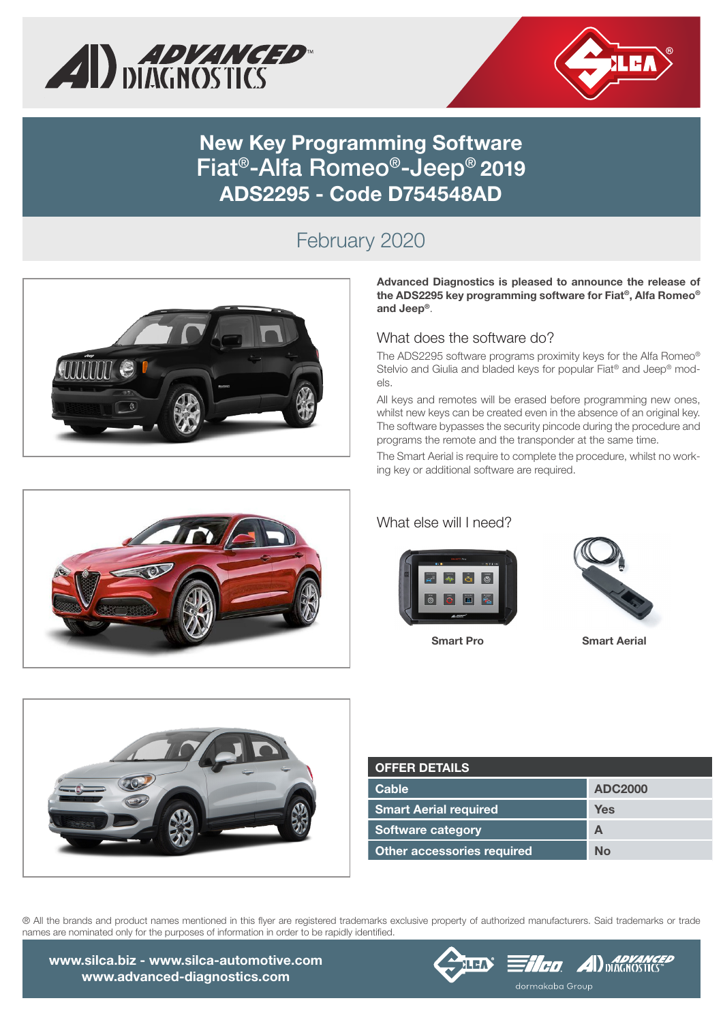



# **New Key Programming Software**  Fiat®-Alfa Romeo®-Jeep® **2019 ADS2295 - Code D754548AD**

## February 2020



Advanced Diagnostics is pleased to announce the release of the ADS2295 key programming software for Fiat**®**, Alfa Romeo**®** and Jeep**®**.

#### What does the software do?

The ADS2295 software programs proximity keys for the Alfa Romeo® Stelvio and Giulia and bladed keys for popular Fiat<sup>®</sup> and Jeep® models.

All keys and remotes will be erased before programming new ones, whilst new keys can be created even in the absence of an original key. The software bypasses the security pincode during the procedure and programs the remote and the transponder at the same time.

The Smart Aerial is require to complete the procedure, whilst no working key or additional software are required.

#### What else will I need?





Smart Pro Smart Aerial



| <b>OFFER DETAILS</b>              |                |
|-----------------------------------|----------------|
| Cable                             | <b>ADC2000</b> |
| <b>Smart Aerial required</b>      | Yes            |
| <b>Software category</b>          | А              |
| <b>Other accessories required</b> | Nο             |

® All the brands and product names mentioned in this flyer are registered trademarks exclusive property of authorized manufacturers. Said trademarks or trade names are nominated only for the purposes of information in order to be rapidly identified.

www.silca.biz - www.silca-automotive.com www.advanced-diagnostics.com